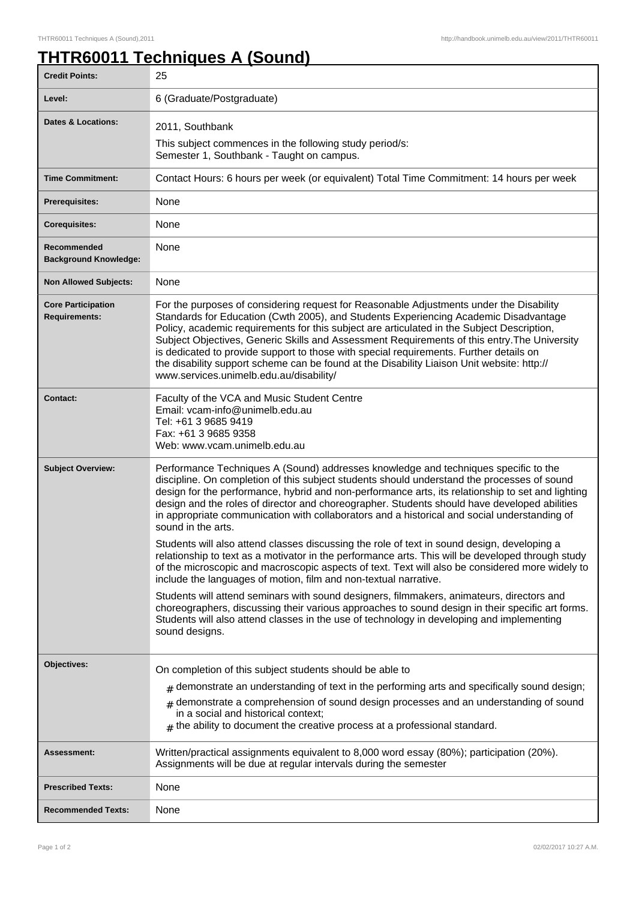## **THTR60011 Techniques A (Sound)**

| <b>Credit Points:</b>                             | 25                                                                                                                                                                                                                                                                                                                                                                                                                                                                                                                                                                                                               |
|---------------------------------------------------|------------------------------------------------------------------------------------------------------------------------------------------------------------------------------------------------------------------------------------------------------------------------------------------------------------------------------------------------------------------------------------------------------------------------------------------------------------------------------------------------------------------------------------------------------------------------------------------------------------------|
| Level:                                            | 6 (Graduate/Postgraduate)                                                                                                                                                                                                                                                                                                                                                                                                                                                                                                                                                                                        |
| <b>Dates &amp; Locations:</b>                     | 2011, Southbank                                                                                                                                                                                                                                                                                                                                                                                                                                                                                                                                                                                                  |
|                                                   | This subject commences in the following study period/s:<br>Semester 1, Southbank - Taught on campus.                                                                                                                                                                                                                                                                                                                                                                                                                                                                                                             |
| <b>Time Commitment:</b>                           | Contact Hours: 6 hours per week (or equivalent) Total Time Commitment: 14 hours per week                                                                                                                                                                                                                                                                                                                                                                                                                                                                                                                         |
| <b>Prerequisites:</b>                             | None                                                                                                                                                                                                                                                                                                                                                                                                                                                                                                                                                                                                             |
| <b>Corequisites:</b>                              | None                                                                                                                                                                                                                                                                                                                                                                                                                                                                                                                                                                                                             |
| Recommended<br><b>Background Knowledge:</b>       | None                                                                                                                                                                                                                                                                                                                                                                                                                                                                                                                                                                                                             |
| <b>Non Allowed Subjects:</b>                      | None                                                                                                                                                                                                                                                                                                                                                                                                                                                                                                                                                                                                             |
| <b>Core Participation</b><br><b>Requirements:</b> | For the purposes of considering request for Reasonable Adjustments under the Disability<br>Standards for Education (Cwth 2005), and Students Experiencing Academic Disadvantage<br>Policy, academic requirements for this subject are articulated in the Subject Description,<br>Subject Objectives, Generic Skills and Assessment Requirements of this entry. The University<br>is dedicated to provide support to those with special requirements. Further details on<br>the disability support scheme can be found at the Disability Liaison Unit website: http://<br>www.services.unimelb.edu.au/disability/ |
| <b>Contact:</b>                                   | Faculty of the VCA and Music Student Centre<br>Email: vcam-info@unimelb.edu.au<br>Tel: +61 3 9685 9419<br>Fax: +61 3 9685 9358<br>Web: www.vcam.unimelb.edu.au                                                                                                                                                                                                                                                                                                                                                                                                                                                   |
| <b>Subject Overview:</b>                          | Performance Techniques A (Sound) addresses knowledge and techniques specific to the<br>discipline. On completion of this subject students should understand the processes of sound<br>design for the performance, hybrid and non-performance arts, its relationship to set and lighting<br>design and the roles of director and choreographer. Students should have developed abilities<br>in appropriate communication with collaborators and a historical and social understanding of<br>sound in the arts.                                                                                                    |
|                                                   | Students will also attend classes discussing the role of text in sound design, developing a<br>relationship to text as a motivator in the performance arts. This will be developed through study<br>of the microscopic and macroscopic aspects of text. Text will also be considered more widely to<br>include the languages of motion, film and non-textual narrative.                                                                                                                                                                                                                                          |
|                                                   | Students will attend seminars with sound designers, filmmakers, animateurs, directors and<br>choreographers, discussing their various approaches to sound design in their specific art forms.<br>Students will also attend classes in the use of technology in developing and implementing<br>sound designs.                                                                                                                                                                                                                                                                                                     |
| Objectives:                                       | On completion of this subject students should be able to                                                                                                                                                                                                                                                                                                                                                                                                                                                                                                                                                         |
|                                                   | $#$ demonstrate an understanding of text in the performing arts and specifically sound design;                                                                                                                                                                                                                                                                                                                                                                                                                                                                                                                   |
|                                                   | $#$ demonstrate a comprehension of sound design processes and an understanding of sound<br>in a social and historical context;<br>$#$ the ability to document the creative process at a professional standard.                                                                                                                                                                                                                                                                                                                                                                                                   |
| Assessment:                                       | Written/practical assignments equivalent to 8,000 word essay (80%); participation (20%).<br>Assignments will be due at regular intervals during the semester                                                                                                                                                                                                                                                                                                                                                                                                                                                     |
| <b>Prescribed Texts:</b>                          | None                                                                                                                                                                                                                                                                                                                                                                                                                                                                                                                                                                                                             |
| <b>Recommended Texts:</b>                         | None                                                                                                                                                                                                                                                                                                                                                                                                                                                                                                                                                                                                             |